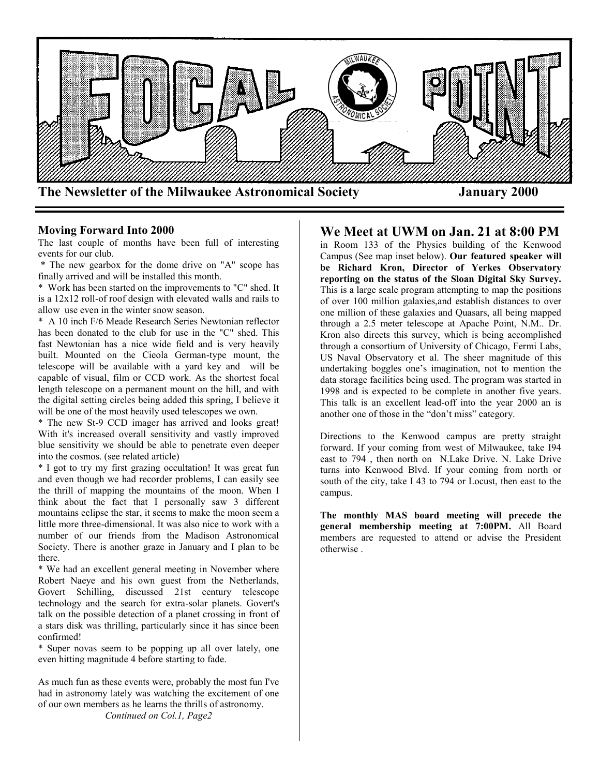

### **Moving Forward Into 2000**

The last couple of months have been full of interesting events for our club.

\* The new gearbox for the dome drive on "A" scope has finally arrived and will be installed this month.

\* Work has been started on the improvements to "C" shed. It is a 12x12 roll-of roof design with elevated walls and rails to allow use even in the winter snow season.

\* A 10 inch F/6 Meade Research Series Newtonian reflector has been donated to the club for use in the "C" shed. This fast Newtonian has a nice wide field and is very heavily built. Mounted on the Cieola German-type mount, the telescope will be available with a yard key and will be capable of visual, film or CCD work. As the shortest focal length telescope on a permanent mount on the hill, and with the digital setting circles being added this spring, I believe it will be one of the most heavily used telescopes we own.

\* The new St-9 CCD imager has arrived and looks great! With it's increased overall sensitivity and vastly improved blue sensitivity we should be able to penetrate even deeper into the cosmos. (see related article)

\* I got to try my first grazing occultation! It was great fun and even though we had recorder problems, I can easily see the thrill of mapping the mountains of the moon. When I think about the fact that I personally saw 3 different mountains eclipse the star, it seems to make the moon seem a little more three-dimensional. It was also nice to work with a number of our friends from the Madison Astronomical Society. There is another graze in January and I plan to be there.

\* We had an excellent general meeting in November where Robert Naeye and his own guest from the Netherlands, Govert Schilling, discussed 21st century telescope technology and the search for extra-solar planets. Govert's talk on the possible detection of a planet crossing in front of a stars disk was thrilling, particularly since it has since been confirmed!

\* Super novas seem to be popping up all over lately, one even hitting magnitude 4 before starting to fade.

As much fun as these events were, probably the most fun I've had in astronomy lately was watching the excitement of one of our own members as he learns the thrills of astronomy. *Continued on Col.1, Page2*

## **We Meet at UWM on Jan. 21 at 8:00 PM**

in Room 133 of the Physics building of the Kenwood Campus (See map inset below). **Our featured speaker will be Richard Kron, Director of Yerkes Observatory reporting on the status of the Sloan Digital Sky Survey.** This is a large scale program attempting to map the positions of over 100 million galaxies,and establish distances to over one million of these galaxies and Quasars, all being mapped through a 2.5 meter telescope at Apache Point, N.M.. Dr. Kron also directs this survey, which is being accomplished through a consortium of University of Chicago, Fermi Labs, US Naval Observatory et al. The sheer magnitude of this undertaking boggles one's imagination, not to mention the data storage facilities being used. The program was started in 1998 and is expected to be complete in another five years. This talk is an excellent lead-off into the year 2000 an is another one of those in the "don't miss" category.

Directions to the Kenwood campus are pretty straight forward. If your coming from west of Milwaukee, take I94 east to 794 , then north on N.Lake Drive. N. Lake Drive turns into Kenwood Blvd. If your coming from north or south of the city, take I 43 to 794 or Locust, then east to the campus.

**The monthly MAS board meeting will precede the general membership meeting at 7:00PM.** All Board members are requested to attend or advise the President otherwise .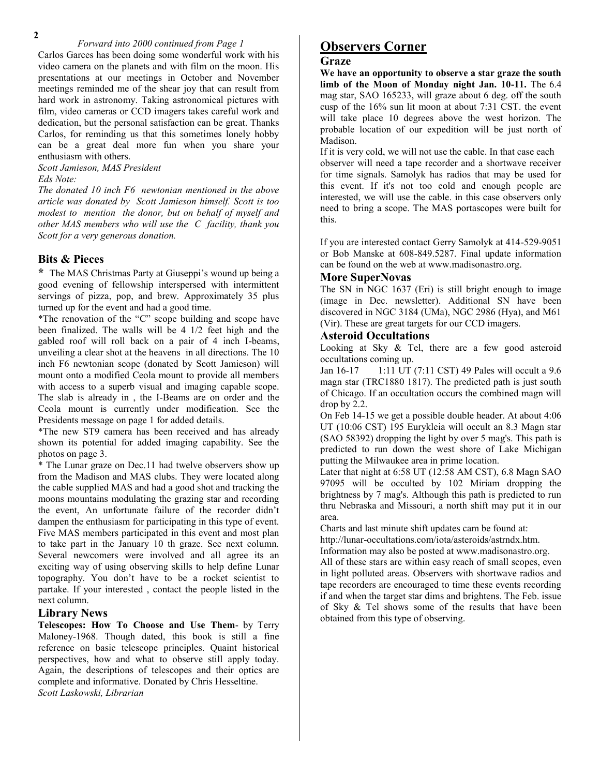### *Forward into 2000 continued from Page 1*

Carlos Garces has been doing some wonderful work with his video camera on the planets and with film on the moon. His presentations at our meetings in October and November meetings reminded me of the shear joy that can result from hard work in astronomy. Taking astronomical pictures with film, video cameras or CCD imagers takes careful work and dedication, but the personal satisfaction can be great. Thanks Carlos, for reminding us that this sometimes lonely hobby can be a great deal more fun when you share your enthusiasm with others.

*Scott Jamieson, MAS President Eds Note:*

*The donated 10 inch F6 newtonian mentioned in the above article was donated by Scott Jamieson himself. Scott is too modest to mention the donor, but on behalf of myself and other MAS members who will use the C facility, thank you Scott for a very generous donation.*

### **Bits & Pieces**

**\*** The MAS Christmas Party at Giuseppi's wound up being a good evening of fellowship interspersed with intermittent servings of pizza, pop, and brew. Approximately 35 plus turned up for the event and had a good time.

\*The renovation of the "C" scope building and scope have been finalized. The walls will be 4 1/2 feet high and the gabled roof will roll back on a pair of 4 inch I-beams, unveiling a clear shot at the heavens in all directions. The 10 inch F6 newtonian scope (donated by Scott Jamieson) will mount onto a modified Ceola mount to provide all members with access to a superb visual and imaging capable scope. The slab is already in , the I-Beams are on order and the Ceola mount is currently under modification. See the Presidents message on page 1 for added details.

\*The new ST9 camera has been received and has already shown its potential for added imaging capability. See the photos on page 3.

\* The Lunar graze on Dec.11 had twelve observers show up from the Madison and MAS clubs. They were located along the cable supplied MAS and had a good shot and tracking the moons mountains modulating the grazing star and recording the event, An unfortunate failure of the recorder didn't dampen the enthusiasm for participating in this type of event. Five MAS members participated in this event and most plan to take part in the January 10 th graze. See next column. Several newcomers were involved and all agree its an exciting way of using observing skills to help define Lunar topography. You don't have to be a rocket scientist to partake. If your interested , contact the people listed in the next column.

### **Library News**

**Telescopes: How To Choose and Use Them**- by Terry Maloney-1968. Though dated, this book is still a fine reference on basic telescope principles. Quaint historical perspectives, how and what to observe still apply today. Again, the descriptions of telescopes and their optics are complete and informative. Donated by Chris Hesseltine. *Scott Laskowski, Librarian*

## **Observers Corner**

### **Graze**

**We have an opportunity to observe a star graze the south limb of the Moon of Monday night Jan. 10-11.** The 6.4 mag star, SAO 165233, will graze about 6 deg. off the south cusp of the 16% sun lit moon at about 7:31 CST. the event will take place 10 degrees above the west horizon. The probable location of our expedition will be just north of Madison.

If it is very cold, we will not use the cable. In that case each observer will need a tape recorder and a shortwave receiver for time signals. Samolyk has radios that may be used for this event. If it's not too cold and enough people are interested, we will use the cable. in this case observers only need to bring a scope. The MAS portascopes were built for this.

If you are interested contact Gerry Samolyk at 414-529-9051 or Bob Manske at 608-849.5287. Final update information can be found on the web at www.madisonastro.org.

### **More SuperNovas**

The SN in NGC 1637 (Eri) is still bright enough to image (image in Dec. newsletter). Additional SN have been discovered in NGC 3184 (UMa), NGC 2986 (Hya), and M61 (Vir). These are great targets for our CCD imagers.

### **Asteroid Occultations**

Looking at Sky & Tel, there are a few good asteroid occultations coming up.

Jan 16-17 1:11 UT (7:11 CST) 49 Pales will occult a 9.6 magn star (TRC1880 1817). The predicted path is just south of Chicago. If an occultation occurs the combined magn will drop by 2.2.

On Feb 14-15 we get a possible double header. At about 4:06 UT (10:06 CST) 195 Eurykleia will occult an 8.3 Magn star (SAO 58392) dropping the light by over 5 mag's. This path is predicted to run down the west shore of Lake Michigan putting the Milwaukee area in prime location.

Later that night at 6:58 UT (12:58 AM CST), 6.8 Magn SAO 97095 will be occulted by 102 Miriam dropping the brightness by 7 mag's. Although this path is predicted to run thru Nebraska and Missouri, a north shift may put it in our area.

Charts and last minute shift updates cam be found at:

http://lunar-occultations.com/iota/asteroids/astrndx.htm.

Information may also be posted at www.madisonastro.org.

All of these stars are within easy reach of small scopes, even in light polluted areas. Observers with shortwave radios and tape recorders are encouraged to time these events recording if and when the target star dims and brightens. The Feb. issue of Sky & Tel shows some of the results that have been obtained from this type of observing.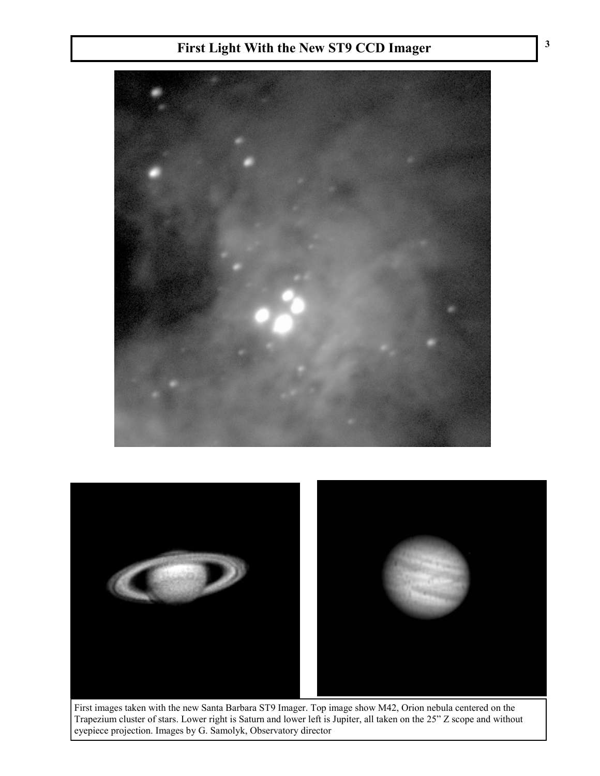# **First Light With the New ST9 CCD Imager**





First images taken with the new Santa Barbara ST9 Imager. Top image show M42, Orion nebula centered on the Trapezium cluster of stars. Lower right is Saturn and lower left is Jupiter, all taken on the 25" Z scope and without eyepiece projection. Images by G. Samolyk, Observatory director

**3**